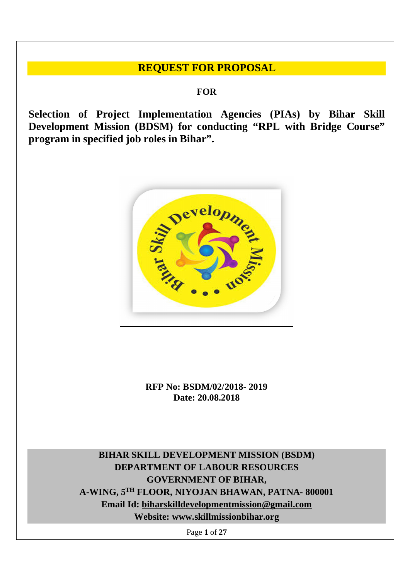## **REQUEST FOR PROPOSAL**

**FOR**

**Selection of Project Implementation Agencies (PIAs) by Bihar Skill Development Mission (BDSM) for conducting "RPL with Bridge Course" program in specified job roles in Bihar".**



**RFP No: BSDM/02/2018- 2019 Date: 20.08.2018**

**BIHAR SKILL DEVELOPMENT MISSION (BSDM) DEPARTMENT OF LABOUR RESOURCES GOVERNMENT OF BIHAR, A-WING, 5TH FLOOR, NIYOJAN BHAWAN, PATNA- 800001 Email Id: biharskilldevelopmentmission@gmail.com Website: www.skillmissionbihar.org**

Page **1** of **27**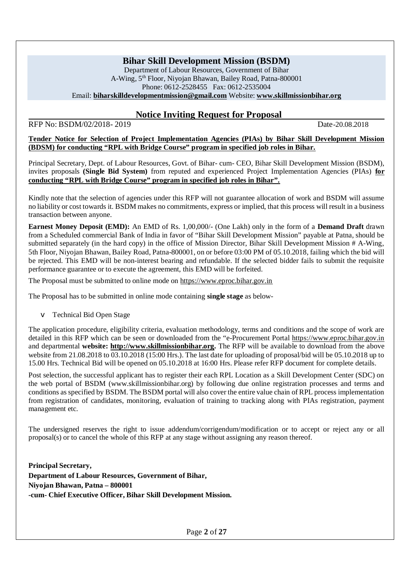### **Bihar Skill Development Mission (BSDM)**

Department of Labour Resources, Government of Bihar A-Wing, 5th Floor, Niyojan Bhawan, Bailey Road, Patna-800001 Phone: 0612-2528455 Fax: 0612-2535004 Email: **biharskilldevelopmentmission@gmail.com** Website: **www.skillmissionbihar.org**

### **Notice Inviting Request for Proposal**

RFP No: BSDM/02/2018-2019 Date-20.08.2018

**Tender Notice for Selection of Project Implementation Agencies (PIAs) by Bihar Skill Development Mission (BDSM) for conducting "RPL with Bridge Course" program in specified job roles in Bihar.**

Principal Secretary, Dept. of Labour Resources, Govt. of Bihar- cum- CEO, Bihar Skill Development Mission (BSDM), invites proposals **(Single Bid System)** from reputed and experienced Project Implementation Agencies (PIAs) **for conducting "RPL with Bridge Course" program in specified job roles in Bihar".**

Kindly note that the selection of agencies under this RFP will not guarantee allocation of work and BSDM will assume no liability or cost towards it. BSDM makes no commitments, express or implied, that this process will result in a business transaction between anyone.

**Earnest Money Deposit (EMD):** An EMD of Rs. 1,00,000/- (One Lakh) only in the form of a **Demand Draft** drawn from a Scheduled commercial Bank of India in favor of "Bihar Skill Development Mission" payable at Patna, should be submitted separately (in the hard copy) in the office of Mission Director, Bihar Skill Development Mission # A-Wing, 5th Floor, Niyojan Bhawan, Bailey Road, Patna-800001, on or before 03:00 PM of 05.10.2018, failing which the bid will be rejected. This EMD will be non-interest bearing and refundable. If the selected bidder fails to submit the requisite performance guarantee or to execute the agreement, this EMD will be forfeited.

The Proposal must be submitted to online mode on https://www.eproc.bihar.gov.in

The Proposal has to be submitted in online mode containing **single stage** as below-

v Technical Bid Open Stage

The application procedure, eligibility criteria, evaluation methodology, terms and conditions and the scope of work are detailed in this RFP which can be seen or downloaded from the "e-Procurement Portal https://www.eproc.bihar.gov.in and departmental **website: http://www.skillmissionbihar.org.** The RFP will be available to download from the above website from 21.08.2018 to 03.10.2018 (15:00 Hrs.). The last date for uploading of proposal/bid will be 05.10.2018 up to 15.00 Hrs. Technical Bid will be opened on 05.10.2018 at 16:00 Hrs. Please refer RFP document for complete details.

Post selection, the successful applicant has to register their each RPL Location as a Skill Development Center (SDC) on the web portal of BSDM (www.skillmissionbihar.org) by following due online registration processes and terms and conditions as specified by BSDM. The BSDM portal will also cover the entire value chain of RPL process implementation from registration of candidates, monitoring, evaluation of training to tracking along with PIAs registration, payment management etc.

The undersigned reserves the right to issue addendum/corrigendum/modification or to accept or reject any or all proposal(s) or to cancel the whole of this RFP at any stage without assigning any reason thereof.

**Principal Secretary, Department of Labour Resources, Government of Bihar, Niyojan Bhawan, Patna – 800001 -cum- Chief Executive Officer, Bihar Skill Development Mission.**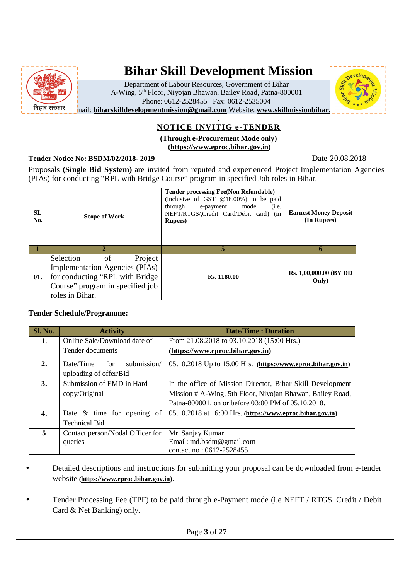

# **Bihar Skill Development Mission**

Department of Labour Resources, Government of Bihar A-Wing, 5th Floor, Niyojan Bhawan, Bailey Road, Patna-800001 Phone: 0612-2528455 Fax: 0612-2535004



#### **mail: biharskilldevelopmentmission@gmail.com** Website: www.skillmissionbihar. .

### **NOTICE INVITIG e-TENDER**

#### **(Through e-Procurement Mode only) (https://www.eproc.bihar.gov.in)**

**Tender Notice No: BSDM/02/2018- 2019** Date-20.08.2018

Proposals **(Single Bid System)** are invited from reputed and experienced Project Implementation Agencies (PIAs) for conducting "RPL with Bridge Course" program in specified Job roles in Bihar.

| <b>SL</b><br>No. | Scope of Work                                                                                                                                           | <b>Tender processing Fee(Non Refundable)</b><br>(inclusive of GST $@18.00\%$ ) to be paid<br>through<br>mode<br>e-payment<br>(i.e.<br>NEFT/RTGS/,Credit Card/Debit card) (in<br><b>Rupees</b> ) | <b>Earnest Money Deposit</b><br>(In Rupees) |
|------------------|---------------------------------------------------------------------------------------------------------------------------------------------------------|-------------------------------------------------------------------------------------------------------------------------------------------------------------------------------------------------|---------------------------------------------|
|                  |                                                                                                                                                         | 5                                                                                                                                                                                               | 6                                           |
| 01.              | Selection<br>Project<br>of<br>Implementation Agencies (PIAs)<br>for conducting "RPL with Bridge"<br>Course" program in specified job<br>roles in Bihar. | Rs. 1180.00                                                                                                                                                                                     | Rs. 1,00,000.00 (BY DD<br>Only)             |

#### **Tender Schedule/Programme:**

| Sl. No. | <b>Activity</b>                  | Date/Time: Duration                                          |  |  |  |
|---------|----------------------------------|--------------------------------------------------------------|--|--|--|
| 1.      | Online Sale/Download date of     | From 21.08.2018 to 03.10.2018 (15:00 Hrs.)                   |  |  |  |
|         | Tender documents                 | (https://www.eproc.bihar.gov.in)                             |  |  |  |
| 2.      | submission/<br>Date/Time<br>for  | 05.10.2018 Up to 15.00 Hrs. (https://www.eproc.bihar.gov.in) |  |  |  |
|         | uploading of offer/Bid           |                                                              |  |  |  |
| 3.      | Submission of EMD in Hard        | In the office of Mission Director, Bihar Skill Development   |  |  |  |
|         | copy/Original                    | Mission # A-Wing, 5th Floor, Niyojan Bhawan, Bailey Road,    |  |  |  |
|         |                                  | Patna-800001, on or before 03:00 PM of 05.10.2018.           |  |  |  |
| 4.      | Date $\&$ time for opening of    | $05.10.2018$ at 16:00 Hrs. (https://www.eproc.bihar.gov.in)  |  |  |  |
|         | <b>Technical Bid</b>             |                                                              |  |  |  |
| 5       | Contact person/Nodal Officer for | Mr. Sanjay Kumar                                             |  |  |  |
|         | queries                          | Email: md.bsdm@gmail.com                                     |  |  |  |
|         |                                  | contact no: 0612-2528455                                     |  |  |  |

- Detailed descriptions and instructions for submitting your proposal can be downloaded from e-tender website **(https://www.eproc.bihar.gov.in)**.
- Tender Processing Fee (TPF) to be paid through e-Payment mode (i.e NEFT / RTGS, Credit / Debit Card & Net Banking) only.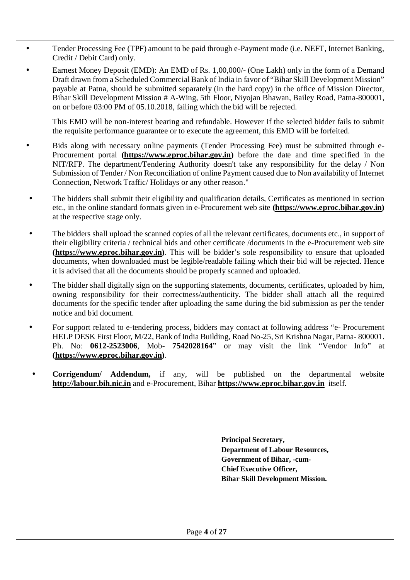- Tender Processing Fee (TPF) amount to be paid through e-Payment mode (i.e. NEFT, Internet Banking, Credit / Debit Card) only.
	- Earnest Money Deposit (EMD): An EMD of Rs. 1,00,000/- (One Lakh) only in the form of a Demand Draft drawn from a Scheduled Commercial Bank of India in favor of "Bihar Skill Development Mission" payable at Patna, should be submitted separately (in the hard copy) in the office of Mission Director, Bihar Skill Development Mission # A-Wing, 5th Floor, Niyojan Bhawan, Bailey Road, Patna-800001, on or before 03:00 PM of 05.10.2018, failing which the bid will be rejected.

This EMD will be non-interest bearing and refundable. However If the selected bidder fails to submit the requisite performance guarantee or to execute the agreement, this EMD will be forfeited.

Bids along with necessary online payments (Tender Processing Fee) must be submitted through e-Procurement portal **(https://www.eproc.bihar.gov.in)** before the date and time specified in the NIT/RFP. The department/Tendering Authority doesn't take any responsibility for the delay / Non Submission of Tender / Non Reconciliation of online Payment caused due to Non availability of Internet Connection, Network Traffic/ Holidays or any other reason."

- The bidders shall submit their eligibility and qualification details, Certificates as mentioned in section etc., in the online standard formats given in e-Procurement web site **(https://www.eproc.bihar.gov.in)** at the respective stage only.
- The bidders shall upload the scanned copies of all the relevant certificates, documents etc., in support of their eligibility criteria / technical bids and other certificate /documents in the e-Procurement web site **(https://www.eproc.bihar.gov.in)**. This will be bidder's sole responsibility to ensure that uploaded documents, when downloaded must be legible/readable failing which their bid will be rejected. Hence it is advised that all the documents should be properly scanned and uploaded.
- The bidder shall digitally sign on the supporting statements, documents, certificates, uploaded by him, owning responsibility for their correctness/authenticity. The bidder shall attach all the required documents for the specific tender after uploading the same during the bid submission as per the tender notice and bid document.
- For support related to e-tendering process, bidders may contact at following address "e- Procurement HELP DESK First Floor, M/22, Bank of India Building, Road No-25, Sri Krishna Nagar, Patna- 800001. Ph. No: **0612-2523006**, Mob- **7542028164**" or may visit the link "Vendor Info" at **(https://www.eproc.bihar.gov.in)**.
	- **Corrigendum/ Addendum,** if any, will be published on the departmental website **http://labour.bih.nic.in** and e-Procurement, Bihar **https://www.eproc.bihar.gov.in** itself.

**Principal Secretary, Department of Labour Resources, Government of Bihar, -cum-Chief Executive Officer, Bihar Skill Development Mission.**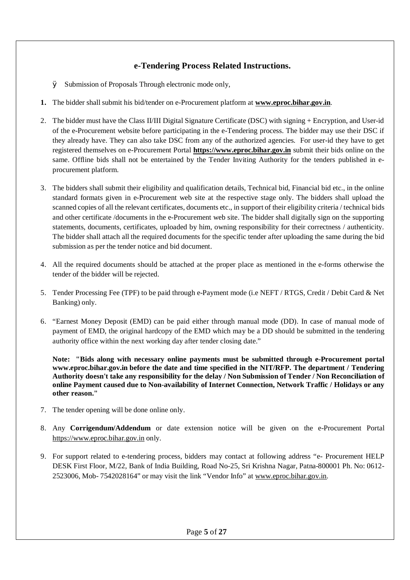### **e-Tendering Process Related Instructions.**

Ø Submission of Proposals Through electronic mode only,

- **1.** The bidder shall submit his bid/tender on e-Procurement platform at **www.eproc.bihar.gov.in**.
- 2. The bidder must have the Class II/III Digital Signature Certificate (DSC) with signing + Encryption, and User-id of the e-Procurement website before participating in the e-Tendering process. The bidder may use their DSC if they already have. They can also take DSC from any of the authorized agencies. For user-id they have to get registered themselves on e-Procurement Portal **https://www.eproc.bihar.gov.in** submit their bids online on the same. Offline bids shall not be entertained by the Tender Inviting Authority for the tenders published in eprocurement platform.
- 3. The bidders shall submit their eligibility and qualification details, Technical bid, Financial bid etc., in the online standard formats given in e-Procurement web site at the respective stage only. The bidders shall upload the scanned copies of all the relevant certificates, documents etc., in support of their eligibility criteria / technical bids and other certificate /documents in the e-Procurement web site. The bidder shall digitally sign on the supporting statements, documents, certificates, uploaded by him, owning responsibility for their correctness / authenticity. The bidder shall attach all the required documents for the specific tender after uploading the same during the bid submission as per the tender notice and bid document.
- 4. All the required documents should be attached at the proper place as mentioned in the e-forms otherwise the tender of the bidder will be rejected.
- 5. Tender Processing Fee (TPF) to be paid through e-Payment mode (i.e NEFT / RTGS, Credit / Debit Card & Net Banking) only.
- 6. "Earnest Money Deposit (EMD) can be paid either through manual mode (DD). In case of manual mode of payment of EMD, the original hardcopy of the EMD which may be a DD should be submitted in the tendering authority office within the next working day after tender closing date."

**Note: "Bids along with necessary online payments must be submitted through e-Procurement portal www.eproc.bihar.gov.in before the date and time specified in the NIT/RFP. The department / Tendering Authority doesn't take any responsibility for the delay / Non Submission of Tender / Non Reconciliation of online Payment caused due to Non-availability of Internet Connection, Network Traffic / Holidays or any other reason."**

- 7. The tender opening will be done online only.
- 8. Any **Corrigendum/Addendum** or date extension notice will be given on the e-Procurement Portal https://www.eproc.bihar.gov.in only.
- 9. For support related to e-tendering process, bidders may contact at following address "e- Procurement HELP DESK First Floor, M/22, Bank of India Building, Road No-25, Sri Krishna Nagar, Patna-800001 Ph. No: 0612- 2523006, Mob- 7542028164" or may visit the link "Vendor Info" at www.eproc.bihar.gov.in.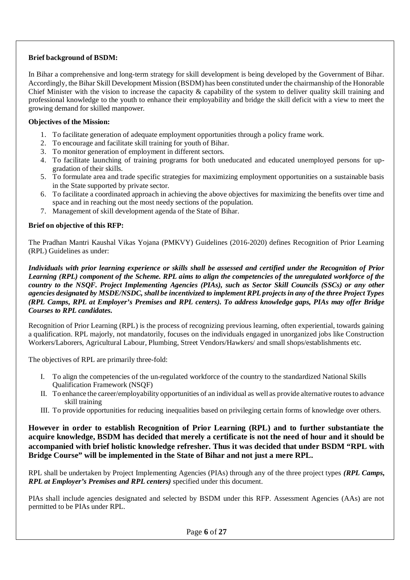#### **Brief background of BSDM:**

In Bihar a comprehensive and long-term strategy for skill development is being developed by the Government of Bihar. Accordingly, the Bihar Skill Development Mission (BSDM) has been constituted under the chairmanship of the Honorable Chief Minister with the vision to increase the capacity & capability of the system to deliver quality skill training and professional knowledge to the youth to enhance their employability and bridge the skill deficit with a view to meet the growing demand for skilled manpower.

#### **Objectives of the Mission:**

- 1. To facilitate generation of adequate employment opportunities through a policy frame work.
- 2. To encourage and facilitate skill training for youth of Bihar.
- 3. To monitor generation of employment in different sectors.
- 4. To facilitate launching of training programs for both uneducated and educated unemployed persons for upgradation of their skills.
- 5. To formulate area and trade specific strategies for maximizing employment opportunities on a sustainable basis in the State supported by private sector.
- 6. To facilitate a coordinated approach in achieving the above objectives for maximizing the benefits over time and space and in reaching out the most needy sections of the population.
- 7. Management of skill development agenda of the State of Bihar.

#### **Brief on objective of this RFP:**

The Pradhan Mantri Kaushal Vikas Yojana (PMKVY) Guidelines (2016-2020) defines Recognition of Prior Learning (RPL) Guidelines as under:

*Individuals with prior learning experience or skills shall be assessed and certified under the Recognition of Prior Learning (RPL) component of the Scheme. RPL aims to align the competencies of the unregulated workforce of the country to the NSQF. Project Implementing Agencies (PIAs), such as Sector Skill Councils (SSCs) or any other agencies designated by MSDE/NSDC, shall be incentivized to implement RPL projects in any of the three Project Types (RPL Camps, RPL at Employer's Premises and RPL centers). To address knowledge gaps, PIAs may offer Bridge Courses to RPL candidates.*

Recognition of Prior Learning (RPL) is the process of recognizing previous learning, often experiential, towards gaining a qualification. RPL majorly, not mandatorily, focuses on the individuals engaged in unorganized jobs like Construction Workers/Laborers, Agricultural Labour, Plumbing, Street Vendors/Hawkers/ and small shops/establishments etc.

The objectives of RPL are primarily three-fold:

- I. To align the competencies of the un-regulated workforce of the country to the standardized National Skills Qualification Framework (NSQF)
- II. To enhance the career/employability opportunities of an individual as well as provide alternative routes to advance skill training
- III. To provide opportunities for reducing inequalities based on privileging certain forms of knowledge over others.

**However in order to establish Recognition of Prior Learning (RPL) and to further substantiate the acquire knowledge, BSDM has decided that merely a certificate is not the need of hour and it should be accompanied with brief holistic knowledge refresher. Thus it was decided that under BSDM "RPL with Bridge Course" will be implemented in the State of Bihar and not just a mere RPL.**

RPL shall be undertaken by Project Implementing Agencies (PIAs) through any of the three project types *(RPL Camps, RPL at Employer's Premises and RPL centers)* specified under this document.

PIAs shall include agencies designated and selected by BSDM under this RFP. Assessment Agencies (AAs) are not permitted to be PIAs under RPL.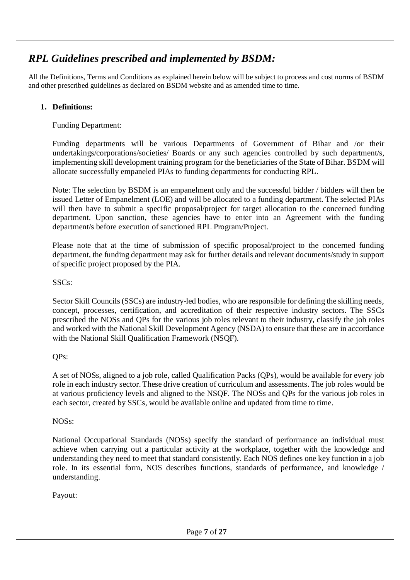## *RPL Guidelines prescribed and implemented by BSDM:*

All the Definitions, Terms and Conditions as explained herein below will be subject to process and cost norms of BSDM and other prescribed guidelines as declared on BSDM website and as amended time to time.

### **1. Definitions:**

Funding Department:

Funding departments will be various Departments of Government of Bihar and /or their undertakings/corporations/societies/ Boards or any such agencies controlled by such department/s, implementing skill development training program for the beneficiaries of the State of Bihar. BSDM will allocate successfully empaneled PIAs to funding departments for conducting RPL.

Note: The selection by BSDM is an empanelment only and the successful bidder / bidders will then be issued Letter of Empanelment (LOE) and will be allocated to a funding department. The selected PIAs will then have to submit a specific proposal/project for target allocation to the concerned funding department. Upon sanction, these agencies have to enter into an Agreement with the funding department/s before execution of sanctioned RPL Program/Project.

Please note that at the time of submission of specific proposal/project to the concerned funding department, the funding department may ask for further details and relevant documents/study in support of specific project proposed by the PIA.

### SSCs:

Sector Skill Councils (SSCs) are industry-led bodies, who are responsible for defining the skilling needs, concept, processes, certification, and accreditation of their respective industry sectors. The SSCs prescribed the NOSs and QPs for the various job roles relevant to their industry, classify the job roles and worked with the National Skill Development Agency (NSDA) to ensure that these are in accordance with the National Skill Qualification Framework (NSQF).

QPs:

A set of NOSs, aligned to a job role, called Qualification Packs (QPs), would be available for every job role in each industry sector. These drive creation of curriculum and assessments. The job roles would be at various proficiency levels and aligned to the NSQF. The NOSs and QPs for the various job roles in each sector, created by SSCs, would be available online and updated from time to time.

### NOSs:

National Occupational Standards (NOSs) specify the standard of performance an individual must achieve when carrying out a particular activity at the workplace, together with the knowledge and understanding they need to meet that standard consistently. Each NOS defines one key function in a job role. In its essential form, NOS describes functions, standards of performance, and knowledge / understanding.

Payout: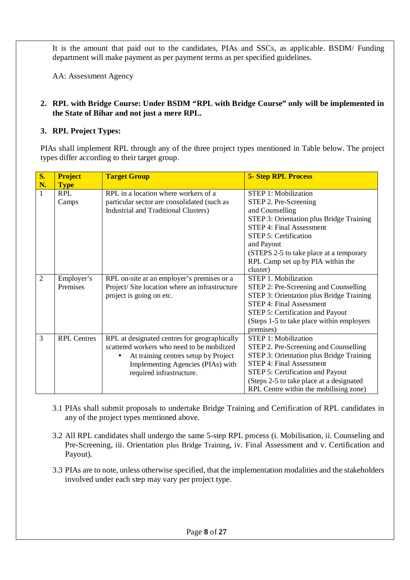It is the amount that paid out to the candidates, PIAs and SSCs, as applicable. BSDM/ Funding department will make payment as per payment terms as per specified guidelines.

AA: Assessment Agency

#### **2. RPL with Bridge Course: Under BSDM "RPL with Bridge Course" only will be implemented in the State of Bihar and not just a mere RPL.**

### **3. RPL Project Types:**

PIAs shall implement RPL through any of the three project types mentioned in Table below. The project types differ according to their target group.

| <b>S.</b>      | <b>Project</b>     | <b>Target Group</b>                           | <b>5- Step RPL Process</b>                 |
|----------------|--------------------|-----------------------------------------------|--------------------------------------------|
| N.             | <b>Type</b>        |                                               |                                            |
| 1              | <b>RPL</b>         | RPL in a location where workers of a          | <b>STEP 1: Mobilization</b>                |
|                | Camps              | particular sector are consolidated (such as   | STEP 2. Pre-Screening                      |
|                |                    | Industrial and Traditional Clusters)          | and Counselling                            |
|                |                    |                                               | STEP 3: Orientation plus Bridge Training   |
|                |                    |                                               | <b>STEP 4: Final Assessment</b>            |
|                |                    |                                               | <b>STEP 5: Certification</b>               |
|                |                    |                                               | and Payout                                 |
|                |                    |                                               | (STEPS 2-5 to take place at a temporary    |
|                |                    |                                               | RPL Camp set up by PIA within the          |
|                |                    |                                               | cluster)                                   |
| $\overline{2}$ | Employer's         | RPL on-site at an employer's premises or a    | <b>STEP 1. Mobilization</b>                |
|                | Premises           | Project/Site location where an infrastructure | STEP 2: Pre-Screening and Counselling      |
|                |                    | project is going on etc.                      | STEP 3: Orientation plus Bridge Training   |
|                |                    |                                               | STEP 4: Final Assessment                   |
|                |                    |                                               | <b>STEP 5: Certification and Payout</b>    |
|                |                    |                                               | (Steps 1-5 to take place within employers) |
|                |                    |                                               | premises)                                  |
| 3              | <b>RPL Centres</b> | RPL at designated centres for geographically  | <b>STEP 1: Mobilization</b>                |
|                |                    | scattered workers who need to be mobilized    | STEP 2. Pre-Screening and Counselling      |
|                |                    | At training centres setup by Project          | STEP 3: Orientation plus Bridge Training   |
|                |                    | Implementing Agencies (PIAs) with             | <b>STEP 4: Final Assessment</b>            |
|                |                    | required infrastructure.                      | STEP 5: Certification and Payout           |
|                |                    |                                               | (Steps 2-5 to take place at a designated   |
|                |                    |                                               | RPL Centre within the mobilising zone)     |

- 3.1 PIAs shall submit proposals to undertake Bridge Training and Certification of RPL candidates in any of the project types mentioned above.
- 3.2 All RPL candidates shall undergo the same 5-step RPL process (i. Mobilisation, ii. Counseling and Pre-Screening, iii. Orientation plus Bridge Training, iv. Final Assessment and v. Certification and Payout).
- 3.3 PIAs are to note, unless otherwise specified, that the implementation modalities and the stakeholders involved under each step may vary per project type.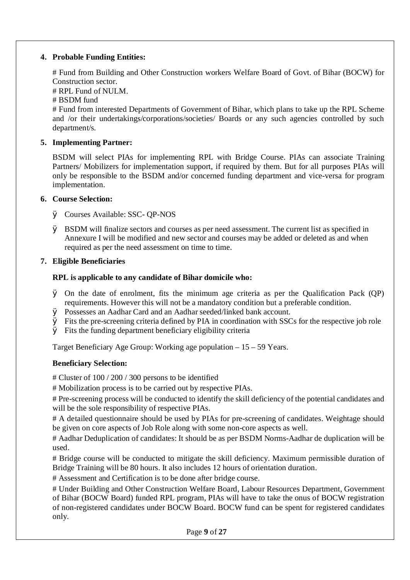#### **4. Probable Funding Entities:**

# Fund from Building and Other Construction workers Welfare Board of Govt. of Bihar (BOCW) for Construction sector.

# RPL Fund of NULM.

# BSDM fund

# Fund from interested Departments of Government of Bihar, which plans to take up the RPL Scheme and /or their undertakings/corporations/societies/ Boards or any such agencies controlled by such department/s.

### **5. Implementing Partner:**

BSDM will select PIAs for implementing RPL with Bridge Course. PIAs can associate Training Partners/ Mobilizers for implementation support, if required by them. But for all purposes PIAs will only be responsible to the BSDM and/or concerned funding department and vice-versa for program implementation.

#### **6. Course Selection:**

- Ø Courses Available: SSC- QP-NOS
- Ø BSDM will finalize sectors and courses as per need assessment. The current list as specified in Annexure I will be modified and new sector and courses may be added or deleted as and when required as per the need assessment on time to time.

### **7. Eligible Beneficiaries**

### **RPL is applicable to any candidate of Bihar domicile who:**

- Ø On the date of enrolment, fits the minimum age criteria as per the Qualification Pack (QP) requirements. However this will not be a mandatory condition but a preferable condition.
- Ø Possesses an Aadhar Card and an Aadhar seeded/linked bank account.
- Ø Fits the pre-screening criteria defined by PIA in coordination with SSCs for the respective job role
- $\varnothing$  Fits the funding department beneficiary eligibility criteria

Target Beneficiary Age Group: Working age population – 15 – 59 Years.

### **Beneficiary Selection:**

# Cluster of 100 / 200 / 300 persons to be identified

# Mobilization process is to be carried out by respective PIAs.

# Pre-screening process will be conducted to identify the skill deficiency of the potential candidates and will be the sole responsibility of respective PIAs.

# A detailed questionnaire should be used by PIAs for pre-screening of candidates. Weightage should be given on core aspects of Job Role along with some non-core aspects as well.

# Aadhar Deduplication of candidates: It should be as per BSDM Norms-Aadhar de duplication will be used.

# Bridge course will be conducted to mitigate the skill deficiency. Maximum permissible duration of Bridge Training will be 80 hours. It also includes 12 hours of orientation duration.

# Assessment and Certification is to be done after bridge course.

# Under Building and Other Construction Welfare Board, Labour Resources Department, Government of Bihar (BOCW Board) funded RPL program, PIAs will have to take the onus of BOCW registration of non-registered candidates under BOCW Board. BOCW fund can be spent for registered candidates only.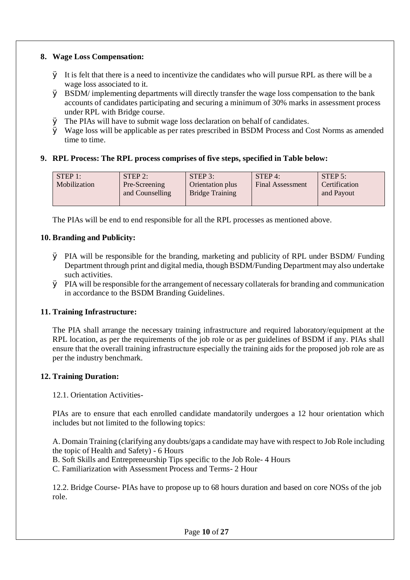#### **8. Wage Loss Compensation:**

- $\varnothing$  It is felt that there is a need to incentivize the candidates who will pursue RPL as there will be a wage loss associated to it.
- $\varnothing$  BSDM/ implementing departments will directly transfer the wage loss compensation to the bank accounts of candidates participating and securing a minimum of 30% marks in assessment process under RPL with Bridge course.
- Ø The PIAs will have to submit wage loss declaration on behalf of candidates.
- Ø Wage loss will be applicable as per rates prescribed in BSDM Process and Cost Norms as amended time to time.

### **9. RPL Process: The RPL process comprises of five steps, specified in Table below:**

| STEP 1:      | $STEP$ 2:       | $STEP$ 3:              | $STEP$ 4:               | STEP 5:       |
|--------------|-----------------|------------------------|-------------------------|---------------|
| Mobilization | Pre-Screening   | Orientation plus       | <b>Final Assessment</b> | Certification |
|              | and Counselling | <b>Bridge Training</b> |                         | and Payout    |
|              |                 |                        |                         |               |

The PIAs will be end to end responsible for all the RPL processes as mentioned above.

### **10. Branding and Publicity:**

- Ø PIA will be responsible for the branding, marketing and publicity of RPL under BSDM/ Funding Department through print and digital media, though BSDM/Funding Department may also undertake such activities.
- Ø PIA will be responsible for the arrangement of necessary collaterals for branding and communication in accordance to the BSDM Branding Guidelines.

### **11. Training Infrastructure:**

The PIA shall arrange the necessary training infrastructure and required laboratory/equipment at the RPL location, as per the requirements of the job role or as per guidelines of BSDM if any. PIAs shall ensure that the overall training infrastructure especially the training aids for the proposed job role are as per the industry benchmark.

#### **12. Training Duration:**

#### 12.1. Orientation Activities-

PIAs are to ensure that each enrolled candidate mandatorily undergoes a 12 hour orientation which includes but not limited to the following topics:

A. Domain Training (clarifying any doubts/gaps a candidate may have with respect to Job Role including the topic of Health and Safety) - 6 Hours

B. Soft Skills and Entrepreneurship Tips specific to the Job Role- 4 Hours

C. Familiarization with Assessment Process and Terms- 2 Hour

12.2. Bridge Course- PIAs have to propose up to 68 hours duration and based on core NOSs of the job role.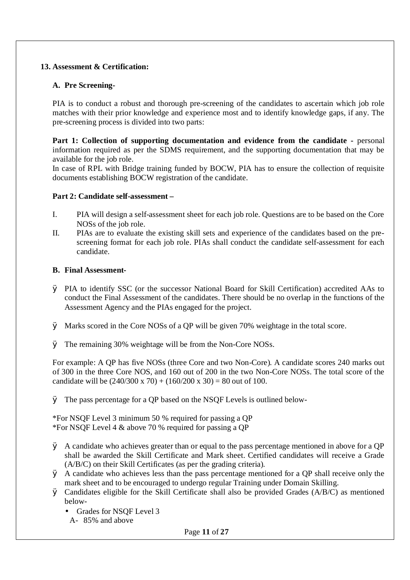#### **13. Assessment & Certification:**

#### **A. Pre Screening-**

PIA is to conduct a robust and thorough pre-screening of the candidates to ascertain which job role matches with their prior knowledge and experience most and to identify knowledge gaps, if any. The pre-screening process is divided into two parts:

**Part 1: Collection of supporting documentation and evidence from the candidate -** personal information required as per the SDMS requirement, and the supporting documentation that may be available for the job role.

In case of RPL with Bridge training funded by BOCW, PIA has to ensure the collection of requisite documents establishing BOCW registration of the candidate.

#### **Part 2: Candidate self-assessment –**

- I. PIA will design a self-assessment sheet for each job role. Questions are to be based on the Core NOSs of the job role.
- II. PIAs are to evaluate the existing skill sets and experience of the candidates based on the prescreening format for each job role. PIAs shall conduct the candidate self-assessment for each candidate.

#### **B. Final Assessment-**

- Ø PIA to identify SSC (or the successor National Board for Skill Certification) accredited AAs to conduct the Final Assessment of the candidates. There should be no overlap in the functions of the Assessment Agency and the PIAs engaged for the project.
- Ø Marks scored in the Core NOSs of a QP will be given 70% weightage in the total score.
- Ø The remaining 30% weightage will be from the Non-Core NOSs.

For example: A QP has five NOSs (three Core and two Non-Core). A candidate scores 240 marks out of 300 in the three Core NOS, and 160 out of 200 in the two Non-Core NOSs. The total score of the candidate will be  $(240/300 \times 70) + (160/200 \times 30) = 80$  out of 100.

Ø The pass percentage for a QP based on the NSQF Levels is outlined below-

\*For NSQF Level 3 minimum 50 % required for passing a QP \*For NSQF Level 4 & above 70 % required for passing a QP

- Ø A candidate who achieves greater than or equal to the pass percentage mentioned in above for a QP shall be awarded the Skill Certificate and Mark sheet. Certified candidates will receive a Grade (A/B/C) on their Skill Certificates (as per the grading criteria).
- $\varnothing$  A candidate who achieves less than the pass percentage mentioned for a QP shall receive only the mark sheet and to be encouraged to undergo regular Training under Domain Skilling.
- Ø Candidates eligible for the Skill Certificate shall also be provided Grades (A/B/C) as mentioned below-
	- Grades for NSQF Level 3
	- A- 85% and above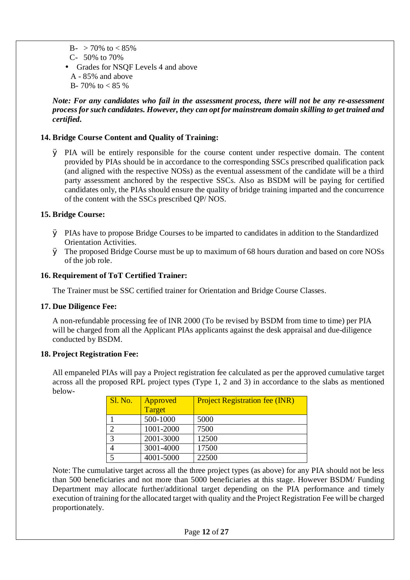$B- > 70\%$  to  $< 85\%$ C- 50% to 70% Grades for NSQF Levels 4 and above A - 85% and above B- 70% to  $< 85$ %

#### *Note: For any candidates who fail in the assessment process, there will not be any re-assessment process for such candidates. However, they can opt for mainstream domain skilling to get trained and certified.*

#### **14. Bridge Course Content and Quality of Training:**

Ø PIA will be entirely responsible for the course content under respective domain. The content provided by PIAs should be in accordance to the corresponding SSCs prescribed qualification pack (and aligned with the respective NOSs) as the eventual assessment of the candidate will be a third party assessment anchored by the respective SSCs. Also as BSDM will be paying for certified candidates only, the PIAs should ensure the quality of bridge training imparted and the concurrence of the content with the SSCs prescribed QP/ NOS.

#### **15. Bridge Course:**

- Ø PIAs have to propose Bridge Courses to be imparted to candidates in addition to the Standardized Orientation Activities.
- Ø The proposed Bridge Course must be up to maximum of 68 hours duration and based on core NOSs of the job role.

#### **16. Requirement of ToT Certified Trainer:**

The Trainer must be SSC certified trainer for Orientation and Bridge Course Classes.

#### **17. Due Diligence Fee:**

A non-refundable processing fee of INR 2000 (To be revised by BSDM from time to time) per PIA will be charged from all the Applicant PIAs applicants against the desk appraisal and due-diligence conducted by BSDM.

#### **18. Project Registration Fee:**

All empaneled PIAs will pay a Project registration fee calculated as per the approved cumulative target across all the proposed RPL project types (Type 1, 2 and 3) in accordance to the slabs as mentioned below-

| <b>Sl. No.</b> | Approved  | <b>Project Registration fee (INR)</b> |
|----------------|-----------|---------------------------------------|
|                | Target    |                                       |
|                | 500-1000  | 5000                                  |
| っ              | 1001-2000 | 7500                                  |
| $\mathcal{R}$  | 2001-3000 | 12500                                 |
|                | 3001-4000 | 17500                                 |
|                | 4001-5000 | 22500                                 |

Note: The cumulative target across all the three project types (as above) for any PIA should not be less than 500 beneficiaries and not more than 5000 beneficiaries at this stage. However BSDM/ Funding Department may allocate further/additional target depending on the PIA performance and timely execution of training for the allocated target with quality and the Project Registration Fee will be charged proportionately.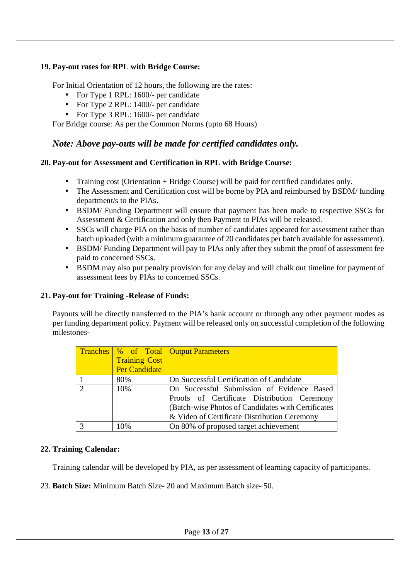### **19. Pay-out rates for RPL with Bridge Course:**

For Initial Orientation of 12 hours, the following are the rates:

- For Type 1 RPL: 1600/- per candidate
- For Type 2 RPL: 1400/- per candidate
- For Type 3 RPL: 1600/- per candidate

For Bridge course: As per the Common Norms (upto 68 Hours)

### *Note: Above pay-outs will be made for certified candidates only.*

#### **20. Pay-out for Assessment and Certification in RPL with Bridge Course:**

- Training cost (Orientation + Bridge Course) will be paid for certified candidates only.
- The Assessment and Certification cost will be borne by PIA and reimbursed by BSDM/ funding department/s to the PIAs.
- BSDM/ Funding Department will ensure that payment has been made to respective SSCs for  $\mathcal{L}^{\pm}$ Assessment & Certification and only then Payment to PIAs will be released.
- SSCs will charge PIA on the basis of number of candidates appeared for assessment rather than  $\mathbf{r}$ batch uploaded (with a minimum guarantee of 20 candidates per batch available for assessment).
- BSDM/ Funding Department will pay to PIAs only after they submit the proof of assessment fee paid to concerned SSCs.
- BSDM may also put penalty provision for any delay and will chalk out timeline for payment of assessment fees by PIAs to concerned SSCs.

#### **21. Pay-out for Training -Release of Funds:**

Payouts will be directly transferred to the PIA's bank account or through any other payment modes as per funding department policy. Payment will be released only on successful completion of the following milestones-

|                      | <b>Tranches %</b> of Total Output Parameters       |
|----------------------|----------------------------------------------------|
| <b>Training Cost</b> |                                                    |
| <b>Per Candidate</b> |                                                    |
| 80%                  | On Successful Certification of Candidate           |
| 10%                  | On Successful Submission of Evidence Based         |
|                      | Proofs of Certificate Distribution Ceremony        |
|                      | (Batch-wise Photos of Candidates with Certificates |
|                      | & Video of Certificate Distribution Ceremony       |
| 10%                  | On 80% of proposed target achievement              |

#### **22. Training Calendar:**

Training calendar will be developed by PIA, as per assessment of learning capacity of participants.

23. **Batch Size:** Minimum Batch Size- 20 and Maximum Batch size- 50.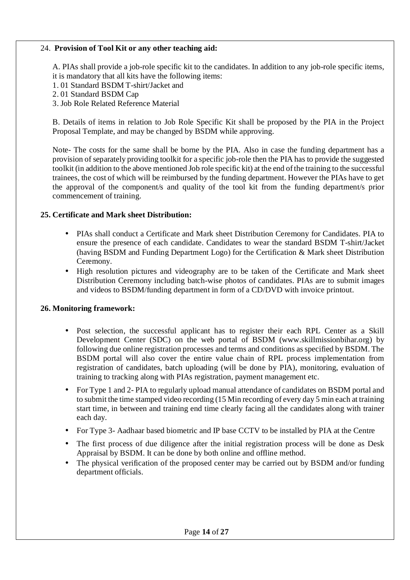#### 24. **Provision of Tool Kit or any other teaching aid:**

A. PIAs shall provide a job-role specific kit to the candidates. In addition to any job-role specific items, it is mandatory that all kits have the following items:

- 1. 01 Standard BSDM T-shirt/Jacket and
- 2. 01 Standard BSDM Cap
- 3. Job Role Related Reference Material

B. Details of items in relation to Job Role Specific Kit shall be proposed by the PIA in the Project Proposal Template, and may be changed by BSDM while approving.

Note- The costs for the same shall be borne by the PIA. Also in case the funding department has a provision of separately providing toolkit for a specific job-role then the PIA has to provide the suggested toolkit (in addition to the above mentioned Job role specific kit) at the end of the training to the successful trainees, the cost of which will be reimbursed by the funding department. However the PIAs have to get the approval of the component/s and quality of the tool kit from the funding department/s prior commencement of training.

#### **25. Certificate and Mark sheet Distribution:**

- PIAs shall conduct a Certificate and Mark sheet Distribution Ceremony for Candidates. PIA to ensure the presence of each candidate. Candidates to wear the standard BSDM T-shirt/Jacket (having BSDM and Funding Department Logo) for the Certification & Mark sheet Distribution Ceremony.
- High resolution pictures and videography are to be taken of the Certificate and Mark sheet Distribution Ceremony including batch-wise photos of candidates. PIAs are to submit images and videos to BSDM/funding department in form of a CD/DVD with invoice printout.

#### **26. Monitoring framework:**

- Post selection, the successful applicant has to register their each RPL Center as a Skill Development Center (SDC) on the web portal of BSDM (www.skillmissionbihar.org) by following due online registration processes and terms and conditions as specified by BSDM. The BSDM portal will also cover the entire value chain of RPL process implementation from registration of candidates, batch uploading (will be done by PIA), monitoring, evaluation of training to tracking along with PIAs registration, payment management etc.
- For Type 1 and 2- PIA to regularly upload manual attendance of candidates on BSDM portal and to submit the time stamped video recording (15 Min recording of every day 5 min each at training start time, in between and training end time clearly facing all the candidates along with trainer each day.
- For Type 3- Aadhaar based biometric and IP base CCTV to be installed by PIA at the Centre
- The first process of due diligence after the initial registration process will be done as Desk Appraisal by BSDM. It can be done by both online and offline method.
- The physical verification of the proposed center may be carried out by BSDM and/or funding department officials.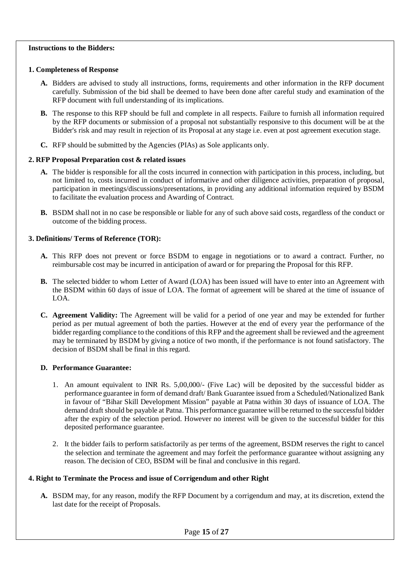#### **Instructions to the Bidders:**

#### **1. Completeness of Response**

- **A.** Bidders are advised to study all instructions, forms, requirements and other information in the RFP document carefully. Submission of the bid shall be deemed to have been done after careful study and examination of the RFP document with full understanding of its implications.
- **B.** The response to this RFP should be full and complete in all respects. Failure to furnish all information required by the RFP documents or submission of a proposal not substantially responsive to this document will be at the Bidder's risk and may result in rejection of its Proposal at any stage i.e. even at post agreement execution stage.
- **C.** RFP should be submitted by the Agencies (PIAs) as Sole applicants only.

#### **2. RFP Proposal Preparation cost & related issues**

- **A.** The bidder is responsible for all the costs incurred in connection with participation in this process, including, but not limited to, costs incurred in conduct of informative and other diligence activities, preparation of proposal, participation in meetings/discussions/presentations, in providing any additional information required by BSDM to facilitate the evaluation process and Awarding of Contract.
- **B.** BSDM shall not in no case be responsible or liable for any of such above said costs, regardless of the conduct or outcome of the bidding process.

#### **3. Definitions/ Terms of Reference (TOR):**

- **A.** This RFP does not prevent or force BSDM to engage in negotiations or to award a contract. Further, no reimbursable cost may be incurred in anticipation of award or for preparing the Proposal for this RFP.
- **B.** The selected bidder to whom Letter of Award (LOA) has been issued will have to enter into an Agreement with the BSDM within 60 days of issue of LOA. The format of agreement will be shared at the time of issuance of LOA.
- **C. Agreement Validity:** The Agreement will be valid for a period of one year and may be extended for further period as per mutual agreement of both the parties. However at the end of every year the performance of the bidder regarding compliance to the conditions of this RFP and the agreement shall be reviewed and the agreement may be terminated by BSDM by giving a notice of two month, if the performance is not found satisfactory. The decision of BSDM shall be final in this regard.

#### **D. Performance Guarantee:**

- 1. An amount equivalent to INR Rs. 5,00,000/- (Five Lac) will be deposited by the successful bidder as performance guarantee in form of demand draft/ Bank Guarantee issued from a Scheduled/Nationalized Bank in favour of "Bihar Skill Development Mission" payable at Patna within 30 days of issuance of LOA. The demand draft should be payable at Patna. This performance guarantee will be returned to the successful bidder after the expiry of the selection period. However no interest will be given to the successful bidder for this deposited performance guarantee.
- 2. It the bidder fails to perform satisfactorily as per terms of the agreement, BSDM reserves the right to cancel the selection and terminate the agreement and may forfeit the performance guarantee without assigning any reason. The decision of CEO, BSDM will be final and conclusive in this regard.

#### **4. Right to Terminate the Process and issue of Corrigendum and other Right**

**A.** BSDM may, for any reason, modify the RFP Document by a corrigendum and may, at its discretion, extend the last date for the receipt of Proposals.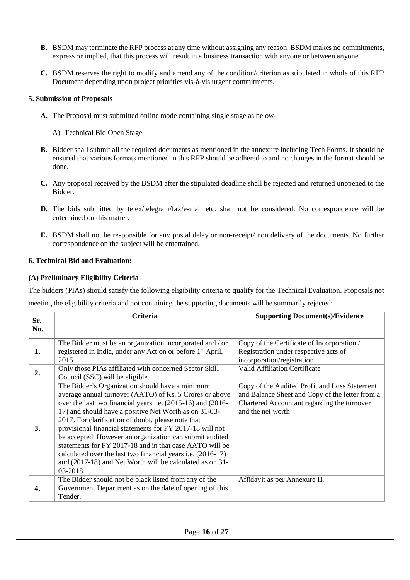- **B.** BSDM may terminate the RFP process at any time without assigning any reason. BSDM makes no commitments, express or implied, that this process will result in a business transaction with anyone or between anyone.
- **C.** BSDM reserves the right to modify and amend any of the condition/criterion as stipulated in whole of this RFP Document depending upon project priorities vis-à-vis urgent commitments.

#### **5. Submission of Proposals**

- **A.** The Proposal must submitted online mode containing single stage as below-
	- A) Technical Bid Open Stage
- **B.** Bidder shall submit all the required documents as mentioned in the annexure including Tech Forms. It should be ensured that various formats mentioned in this RFP should be adhered to and no changes in the format should be done.
- **C.** Any proposal received by the BSDM after the stipulated deadline shall be rejected and returned unopened to the Bidder.
- **D.** The bids submitted by telex/telegram/fax/e-mail etc. shall not be considered. No correspondence will be entertained on this matter.
- **E.** BSDM shall not be responsible for any postal delay or non-receipt/ non delivery of the documents. No further correspondence on the subject will be entertained.

#### **6. Technical Bid and Evaluation:**

#### **(A) Preliminary Eligibility Criteria**:

The bidders (PIAs) should satisfy the following eligibility criteria to qualify for the Technical Evaluation. Proposals not

meeting the eligibility criteria and not containing the supporting documents will be summarily rejected:

| Sr. | <b>Criteria</b>                                                                                                                                                                                                                                                                                                                                                                                                                                                                                                                                                                                                   | <b>Supporting Document(s)/Evidence</b>                                                                                                                               |
|-----|-------------------------------------------------------------------------------------------------------------------------------------------------------------------------------------------------------------------------------------------------------------------------------------------------------------------------------------------------------------------------------------------------------------------------------------------------------------------------------------------------------------------------------------------------------------------------------------------------------------------|----------------------------------------------------------------------------------------------------------------------------------------------------------------------|
| No. |                                                                                                                                                                                                                                                                                                                                                                                                                                                                                                                                                                                                                   |                                                                                                                                                                      |
| 1.  | The Bidder must be an organization incorporated and / or<br>registered in India, under any Act on or before 1 <sup>st</sup> April,<br>2015.                                                                                                                                                                                                                                                                                                                                                                                                                                                                       | Copy of the Certificate of Incorporation /<br>Registration under respective acts of<br>incorporation/registration.                                                   |
| 2.  | Only those PIAs affiliated with concerned Sector Skill<br>Council (SSC) will be eligible.                                                                                                                                                                                                                                                                                                                                                                                                                                                                                                                         | Valid Affiliation Certificate                                                                                                                                        |
| 3.  | The Bidder's Organization should have a minimum<br>average annual turnover (AATO) of Rs. 5 Crores or above<br>over the last two financial years i.e. (2015-16) and (2016-<br>17) and should have a positive Net Worth as on 31-03-<br>2017. For clarification of doubt, please note that<br>provisional financial statements for FY 2017-18 will not<br>be accepted. However an organization can submit audited<br>statements for FY 2017-18 and in that case AATO will be<br>calculated over the last two financial years i.e. (2016-17)<br>and (2017-18) and Net Worth will be calculated as on 31-<br>03-2018. | Copy of the Audited Profit and Loss Statement<br>and Balance Sheet and Copy of the letter from a<br>Chartered Accountant regarding the turnover<br>and the net worth |
| 4.  | The Bidder should not be black listed from any of the<br>Government Department as on the date of opening of this<br>Tender.                                                                                                                                                                                                                                                                                                                                                                                                                                                                                       | Affidavit as per Annexure II.                                                                                                                                        |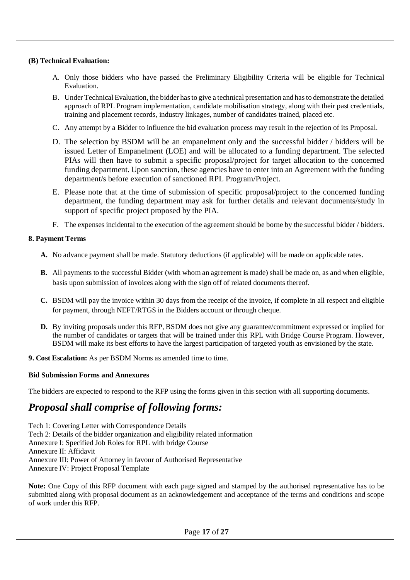#### **(B) Technical Evaluation:**

- A. Only those bidders who have passed the Preliminary Eligibility Criteria will be eligible for Technical Evaluation.
- B. Under Technical Evaluation, the bidder has to give a technical presentation and has to demonstrate the detailed approach of RPL Program implementation, candidate mobilisation strategy, along with their past credentials, training and placement records, industry linkages, number of candidates trained, placed etc.
- C. Any attempt by a Bidder to influence the bid evaluation process may result in the rejection of its Proposal.
- D. The selection by BSDM will be an empanelment only and the successful bidder / bidders will be issued Letter of Empanelment (LOE) and will be allocated to a funding department. The selected PIAs will then have to submit a specific proposal/project for target allocation to the concerned funding department. Upon sanction, these agencies have to enter into an Agreement with the funding department/s before execution of sanctioned RPL Program/Project.
- E. Please note that at the time of submission of specific proposal/project to the concerned funding department, the funding department may ask for further details and relevant documents/study in support of specific project proposed by the PIA.
- F. The expenses incidental to the execution of the agreement should be borne by the successful bidder / bidders.

#### **8. Payment Terms**

- **A.** No advance payment shall be made. Statutory deductions (if applicable) will be made on applicable rates.
- **B.** All payments to the successful Bidder (with whom an agreement is made) shall be made on, as and when eligible, basis upon submission of invoices along with the sign off of related documents thereof.
- **C.** BSDM will pay the invoice within 30 days from the receipt of the invoice, if complete in all respect and eligible for payment, through NEFT/RTGS in the Bidders account or through cheque.
- **D.** By inviting proposals under this RFP, BSDM does not give any guarantee/commitment expressed or implied for the number of candidates or targets that will be trained under this RPL with Bridge Course Program. However, BSDM will make its best efforts to have the largest participation of targeted youth as envisioned by the state.
- **9. Cost Escalation:** As per BSDM Norms as amended time to time.

#### **Bid Submission Forms and Annexures**

The bidders are expected to respond to the RFP using the forms given in this section with all supporting documents.

## *Proposal shall comprise of following forms:*

Tech 1: Covering Letter with Correspondence Details Tech 2: Details of the bidder organization and eligibility related information Annexure I: Specified Job Roles for RPL with bridge Course Annexure II: Affidavit Annexure III: Power of Attorney in favour of Authorised Representative Annexure IV: Project Proposal Template

**Note:** One Copy of this RFP document with each page signed and stamped by the authorised representative has to be submitted along with proposal document as an acknowledgement and acceptance of the terms and conditions and scope of work under this RFP.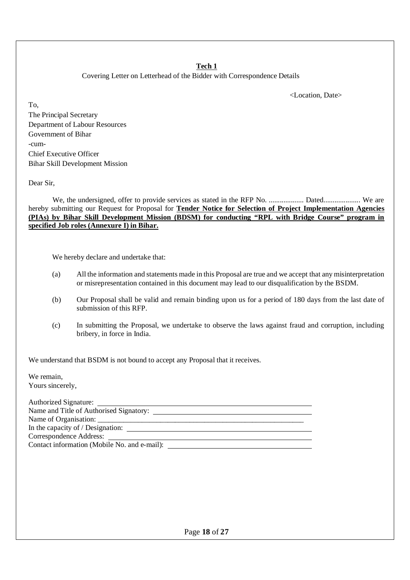#### **Tech 1**

Covering Letter on Letterhead of the Bidder with Correspondence Details

<Location, Date>

To, The Principal Secretary Department of Labour Resources Government of Bihar -cum-Chief Executive Officer Bihar Skill Development Mission

Dear Sir,

We, the undersigned, offer to provide services as stated in the RFP No. ..................... Dated....................... We are hereby submitting our Request for Proposal for **Tender Notice for Selection of Project Implementation Agencies (PIAs) by Bihar Skill Development Mission (BDSM) for conducting "RPL with Bridge Course" program in specified Job roles (Annexure I) in Bihar.**

We hereby declare and undertake that:

- (a) All the information and statements made in this Proposal are true and we accept that any misinterpretation or misrepresentation contained in this document may lead to our disqualification by the BSDM.
- (b) Our Proposal shall be valid and remain binding upon us for a period of 180 days from the last date of submission of this RFP.
- (c) In submitting the Proposal, we undertake to observe the laws against fraud and corruption, including bribery, in force in India.

We understand that BSDM is not bound to accept any Proposal that it receives.

We remain, Yours sincerely,

| Authorized Signature:                        |  |
|----------------------------------------------|--|
| Name and Title of Authorised Signatory:      |  |
|                                              |  |
| In the capacity of / Designation:            |  |
| Correspondence Address:                      |  |
| Contact information (Mobile No. and e-mail): |  |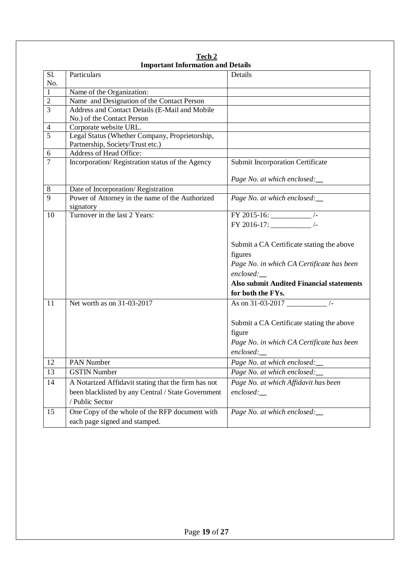|                | Thipol tant Thiormation and Details                          |                                                 |
|----------------|--------------------------------------------------------------|-------------------------------------------------|
| Sl.            | Particulars                                                  | Details                                         |
| No.            |                                                              |                                                 |
| 1              | Name of the Organization:                                    |                                                 |
| $\overline{2}$ | Name and Designation of the Contact Person                   |                                                 |
| $\overline{3}$ | Address and Contact Details (E-Mail and Mobile               |                                                 |
| $\overline{4}$ | No.) of the Contact Person<br>Corporate website URL.         |                                                 |
| $\overline{5}$ | Legal Status (Whether Company, Proprietorship,               |                                                 |
|                | Partnership, Society/Trust etc.)                             |                                                 |
| 6              | Address of Head Office:                                      |                                                 |
| $\tau$         | Incorporation/Registration status of the Agency              | Submit Incorporation Certificate                |
|                |                                                              | Page No. at which enclosed:                     |
| 8              | Date of Incorporation/Registration                           |                                                 |
| 9              | Power of Attorney in the name of the Authorized<br>signatory | Page No. at which enclosed:                     |
| 10             | Turnover in the last 2 Years:                                | FY 2015-16: $\frac{1}{2}$ /-                    |
|                |                                                              | FY 2016-17: $\frac{1}{2}$ /-                    |
|                |                                                              | Submit a CA Certificate stating the above       |
|                |                                                              | figures                                         |
|                |                                                              | Page No. in which CA Certificate has been       |
|                |                                                              | enclosed:                                       |
|                |                                                              | <b>Also submit Audited Financial statements</b> |
|                |                                                              | for both the FYs.                               |
| 11             | Net worth as on 31-03-2017                                   | As on $31 - 03 - 2017$ $\frac{ }{}$             |
|                |                                                              | Submit a CA Certificate stating the above       |
|                |                                                              | figure                                          |
|                |                                                              | Page No. in which CA Certificate has been       |
|                |                                                              | enclosed:                                       |
| 12             | PAN Number                                                   | Page No. at which enclosed:                     |
| 13             | <b>GSTIN Number</b>                                          | Page No. at which enclosed:                     |
| 14             | A Notarized Affidavit stating that the firm has not          | Page No. at which Affidavit has been            |
|                | been blacklisted by any Central / State Government           | $enclosed$ :                                    |
|                | / Public Sector                                              |                                                 |
| 15             | One Copy of the whole of the RFP document with               | Page No. at which enclosed:                     |
|                | each page signed and stamped.                                |                                                 |
|                |                                                              |                                                 |

**Tech 2 Important Information and Details**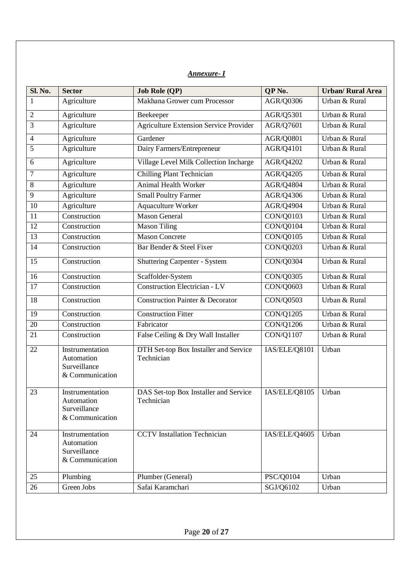### *Annexure- I*

| Sl. No.         | <b>Sector</b>                                                    | <b>Job Role (QP)</b>                                | QP <sub>No.</sub>     | <b>Urban/ Rural Area</b> |  |
|-----------------|------------------------------------------------------------------|-----------------------------------------------------|-----------------------|--------------------------|--|
| 1               | Agriculture                                                      | Makhana Grower cum Processor                        | AGR/Q0306             | Urban & Rural            |  |
| $\overline{2}$  | Agriculture                                                      | Beekeeper                                           | AGR/Q5301             | Urban & Rural            |  |
| 3               | Agriculture                                                      | <b>Agriculture Extension Service Provider</b>       | AGR/Q7601             | Urban & Rural            |  |
| 4               | Agriculture                                                      | Gardener                                            | AGR/Q0801             | Urban & Rural            |  |
| 5               | Agriculture                                                      | Dairy Farmers/Entrepreneur                          | AGR/Q4101             | Urban & Rural            |  |
| 6               | Agriculture                                                      | Village Level Milk Collection Incharge              | AGR/Q4202             | Urban & Rural            |  |
| $\tau$          | Agriculture                                                      | <b>Chilling Plant Technician</b>                    | AGR/Q4205             | Urban & Rural            |  |
| 8               | Agriculture                                                      | <b>Animal Health Worker</b>                         | <b>AGR/Q4804</b>      | Urban & Rural            |  |
| 9               | Agriculture                                                      | <b>Small Poultry Farmer</b>                         | AGR/Q4306             | Urban & Rural            |  |
| 10              | Agriculture                                                      | <b>Aquaculture Worker</b>                           | <b>AGR/Q4904</b>      | Urban & Rural            |  |
| 11              | Construction                                                     | <b>Mason General</b>                                | CON/Q0103             | Urban & Rural            |  |
| 12              | Construction                                                     | <b>Mason Tiling</b>                                 | <b>CON/Q0104</b>      | Urban & Rural            |  |
| $\overline{13}$ | Construction                                                     | <b>Mason Concrete</b>                               | <b>CON/Q0105</b>      | Urban & Rural            |  |
| 14              | Construction                                                     | Bar Bender & Steel Fixer                            | CON/Q0203             | Urban & Rural            |  |
| 15              | Construction                                                     | <b>Shuttering Carpenter - System</b>                | CON/Q0304             | Urban & Rural            |  |
| 16              | Construction                                                     | Scaffolder-System                                   | CON/Q0305             | Urban & Rural            |  |
| 17              | Construction                                                     | <b>Construction Electrician - LV</b>                | CON/Q0603             | Urban & Rural            |  |
| 18              | Construction                                                     | <b>Construction Painter &amp; Decorator</b>         | CON/Q0503             | Urban & Rural            |  |
| $\overline{19}$ | Construction                                                     | <b>Construction Fitter</b>                          | <b>CON/Q1205</b>      | Urban & Rural            |  |
| 20              | Construction                                                     | Fabricator                                          | <b>CON/Q1206</b>      | Urban & Rural            |  |
| 21              | Construction                                                     | False Ceiling & Dry Wall Installer                  | <b>CON/Q1107</b>      | Urban & Rural            |  |
| 22              | Instrumentation<br>Automation<br>Surveillance<br>& Communication | DTH Set-top Box Installer and Service<br>Technician | IAS/ELE/Q8101         | Urban                    |  |
| $23\,$          | Instrumentation<br>Automation<br>Surveillance<br>& Communication | DAS Set-top Box Installer and Service<br>Technician | IAS/ELE/Q8105   Urban |                          |  |
| 24              | Instrumentation<br>Automation<br>Surveillance<br>& Communication | <b>CCTV</b> Installation Technician                 | IAS/ELE/Q4605         | Urban                    |  |
| 25              | Plumbing                                                         | Plumber (General)                                   | PSC/Q0104             | Urban                    |  |
| 26              | Green Jobs                                                       | Safai Karamchari                                    | SGJ/Q6102             | Urban                    |  |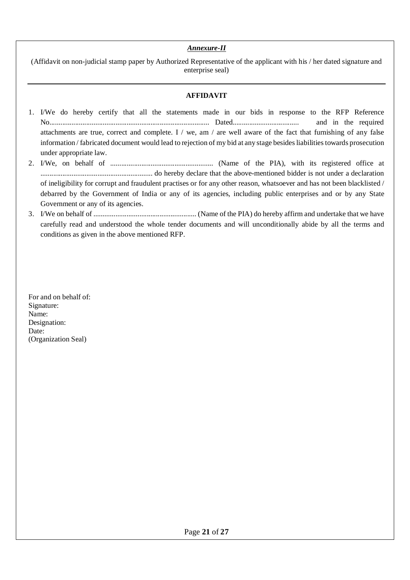#### *Annexure-II*

(Affidavit on non-judicial stamp paper by Authorized Representative of the applicant with his / her dated signature and enterprise seal)

#### **AFFIDAVIT**

- 1. I/We do hereby certify that all the statements made in our bids in response to the RFP Reference No....................................................................................... Dated.................................... and in the required attachments are true, correct and complete. I / we, am / are well aware of the fact that furnishing of any false information / fabricated document would lead to rejection of my bid at any stage besides liabilities towards prosecution under appropriate law.
- 2. I/We, on behalf of ........................................................ (Name of the PIA), with its registered office at ............................................................. do hereby declare that the above-mentioned bidder is not under a declaration of ineligibility for corrupt and fraudulent practises or for any other reason, whatsoever and has not been blacklisted / debarred by the Government of India or any of its agencies, including public enterprises and or by any State Government or any of its agencies.
- 3. I/We on behalf of ........................................................ (Name of the PIA) do hereby affirm and undertake that we have carefully read and understood the whole tender documents and will unconditionally abide by all the terms and conditions as given in the above mentioned RFP.

For and on behalf of: Signature: Name: Designation: Date: (Organization Seal)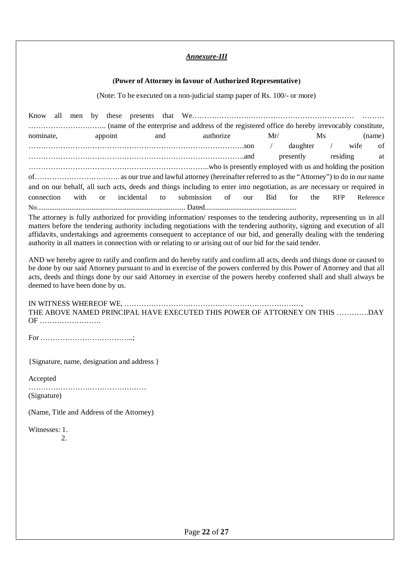#### *Annexure-III*

#### **(Power of Attorney in favour of Authorized Representative)**

(Note: To be executed on a non-judicial stamp paper of Rs. 100/- or more)

| Know all   |  |  |         |     |                                                                                                                         |           |  |                       |           |      |           |
|------------|--|--|---------|-----|-------------------------------------------------------------------------------------------------------------------------|-----------|--|-----------------------|-----------|------|-----------|
|            |  |  |         |     |                                                                                                                         |           |  |                       |           |      |           |
| nominate,  |  |  | appoint | and |                                                                                                                         | authorize |  | Mr/                   | <b>Ms</b> |      | (name)    |
|            |  |  |         |     |                                                                                                                         |           |  | daughter /            |           | wife | of        |
|            |  |  |         |     |                                                                                                                         |           |  | presently residing at |           |      |           |
|            |  |  |         |     |                                                                                                                         |           |  |                       |           |      |           |
|            |  |  |         |     |                                                                                                                         |           |  |                       |           |      |           |
|            |  |  |         |     | and on our behalf, all such acts, deeds and things including to enter into negotiation, as are necessary or required in |           |  |                       |           |      |           |
| connection |  |  |         |     | with or incidental to submission of our Bid for the RFP                                                                 |           |  |                       |           |      | Reference |
|            |  |  |         |     |                                                                                                                         |           |  |                       |           |      |           |

The attorney is fully authorized for providing information/ responses to the tendering authority, representing us in all matters before the tendering authority including negotiations with the tendering authority, signing and execution of all affidavits, undertakings and agreements consequent to acceptance of our bid, and generally dealing with the tendering authority in all matters in connection with or relating to or arising out of our bid for the said tender.

AND we hereby agree to ratify and confirm and do hereby ratify and confirm all acts, deeds and things done or caused to be done by our said Attorney pursuant to and in exercise of the powers conferred by this Power of Attorney and that all acts, deeds and things done by our said Attorney in exercise of the powers hereby conferred shall and shall always be deemed to have been done by us.

IN WITNESS WHEREOF WE, ………………………………………………………………,

THE ABOVE NAMED PRINCIPAL HAVE EXECUTED THIS POWER OF ATTORNEY ON THIS ………….DAY OF …………………….

For ………………………………..;

{Signature, name, designation and address }

Accepted

…………………………………………

(Signature)

(Name, Title and Address of the Attorney)

Witnesses: 1.

 $2<sub>1</sub>$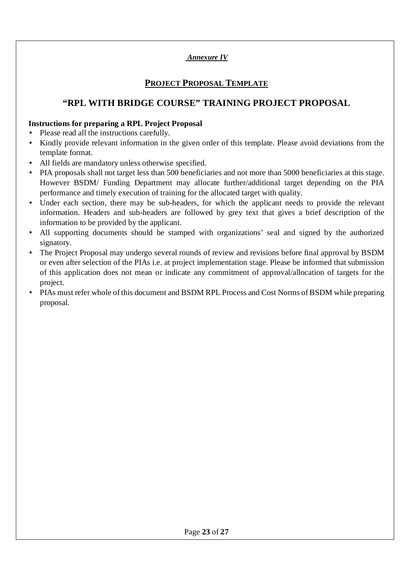### *Annexure IV*

### **PROJECT PROPOSAL TEMPLATE**

### **"RPL WITH BRIDGE COURSE" TRAINING PROJECT PROPOSAL**

#### **Instructions for preparing a RPL Project Proposal**

- Please read all the instructions carefully. à.
- Kindly provide relevant information in the given order of this template. Please avoid deviations from the template format.
- All fields are mandatory unless otherwise specified.
- PIA proposals shall not target less than 500 beneficiaries and not more than 5000 beneficiaries at this stage. However BSDM/ Funding Department may allocate further/additional target depending on the PIA performance and timely execution of training for the allocated target with quality.
- Under each section, there may be sub-headers, for which the applicant needs to provide the relevant information. Headers and sub-headers are followed by grey text that gives a brief description of the information to be provided by the applicant.
- All supporting documents should be stamped with organizations' seal and signed by the authorized signatory.
- The Project Proposal may undergo several rounds of review and revisions before final approval by BSDM  $\mathbf{r}^{\prime}$ or even after selection of the PIAs i.e. at project implementation stage. Please be informed that submission of this application does not mean or indicate any commitment of approval/allocation of targets for the project.
- PIAs must refer whole of this document and BSDM RPL Process and Cost Norms of BSDM while preparing proposal.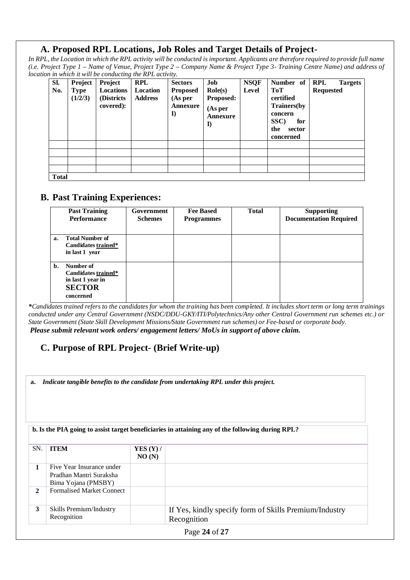### **A. Proposed RPL Locations, Job Roles and Target Details of Project-**

*In RPL, the Location in which the RPL activity will be conducted is important. Applicants are therefore required to provide full name (i.e. Project Type 1 – Name of Venue, Project Type 2 – Company Name & Project Type 3- Training Centre Name) and address of location in which it will be conducting the RPL activity.*

| Sl.<br>No.   | Project<br><b>Type</b> | <b>Project</b><br><b>Locations</b> | <b>RPL</b><br>Location | <b>Sectors</b><br><b>Proposed</b> | Job<br>$\text{Role}(s)$                        | <b>NSQF</b><br>Level | Number of RPL<br><b>ToT</b>                                                      | <b>Targets</b><br><b>Requested</b> |
|--------------|------------------------|------------------------------------|------------------------|-----------------------------------|------------------------------------------------|----------------------|----------------------------------------------------------------------------------|------------------------------------|
|              | (1/2/3)                | (Districts)<br>covered):           | <b>Address</b>         | (As per<br>Annexure<br>$\bf{l}$   | <b>Proposed:</b><br>(As per)<br>Annexure<br>I) |                      | certified<br>Trainers(by<br>concern<br>SSC)<br>for<br>the<br>sector<br>concerned |                                    |
|              |                        |                                    |                        |                                   |                                                |                      |                                                                                  |                                    |
|              |                        |                                    |                        |                                   |                                                |                      |                                                                                  |                                    |
|              |                        |                                    |                        |                                   |                                                |                      |                                                                                  |                                    |
| <b>Total</b> |                        |                                    |                        |                                   |                                                |                      |                                                                                  |                                    |

### **B. Past Training Experiences:**

|    | <b>Past Training</b><br><b>Performance</b>                                          | Government<br><b>Schemes</b> | <b>Fee Based</b><br><b>Programmes</b> | <b>Total</b> | <b>Supporting</b><br><b>Documentation Required</b> |
|----|-------------------------------------------------------------------------------------|------------------------------|---------------------------------------|--------------|----------------------------------------------------|
| a. | <b>Total Number of</b><br>Candidates trained*<br>in last 1 year                     |                              |                                       |              |                                                    |
| b. | Number of<br>Candidates trained*<br>in last 1 year in<br><b>SECTOR</b><br>concerned |                              |                                       |              |                                                    |

*\*Candidates trained refers to the candidates for whom the training has been completed. It includes short term or long term trainings conducted under any Central Government (NSDC/DDU-GKY/ITI/Polytechnics/Any other Central Government run schemes etc.) or State Government (State Skill Development Missions/State Government run schemes) or Fee-based or corporate body. Please submit relevant work orders/ engagement letters/ MoUs in support of above claim.*

### **C. Purpose of RPL Project- (Brief Write-up)**

**a.** *Indicate tangible benefits to the candidate from undertaking RPL under this project.*

#### **b. Is the PIA going to assist target beneficiaries in attaining any of the following during RPL?**

|              |                                                                             | <b>YES (Y) /</b><br>NO(N) |                                                                       |
|--------------|-----------------------------------------------------------------------------|---------------------------|-----------------------------------------------------------------------|
| 1            | Five Year Insurance under<br>Pradhan Mantri Suraksha<br>Bima Yojana (PMSBY) |                           |                                                                       |
| $\mathbf{2}$ | <b>Formalised Market Connect</b>                                            |                           |                                                                       |
| 3            | Skills Premium/Industry<br>Recognition                                      |                           | If Yes, kindly specify form of Skills Premium/Industry<br>Recognition |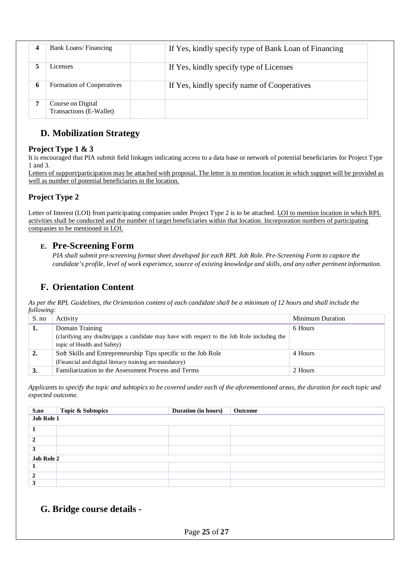| 4 | Bank Loans/Financing                         | If Yes, kindly specify type of Bank Loan of Financing |
|---|----------------------------------------------|-------------------------------------------------------|
|   | Licenses                                     | If Yes, kindly specify type of Licenses               |
| 6 | Formation of Cooperatives                    | If Yes, kindly specify name of Cooperatives           |
|   | Course on Digital<br>Transactions (E-Wallet) |                                                       |

## **D. Mobilization Strategy**

### **Project Type 1 & 3**

It is encouraged that PIA submit field linkages indicating access to a data base or network of potential beneficiaries for Project Type 1 and 3.

Letters of support/participation may be attached with proposal. The letter is to mention location in which support will be provided as well as number of potential beneficiaries in the location.

### **Project Type 2**

Letter of Interest (LOI) from participating companies under Project Type 2 is to be attached. LOI to mention location in which RPL activities shall be conducted and the number of target beneficiaries within that location. Incorporation numbers of participating companies to be mentioned in LOI.

### **E. Pre-Screening Form**

*PIA shall submit pre-screening format sheet developed for each RPL Job Role. Pre-Screening Form to capture the candidate's profile, level of work experience, source of existing knowledge and skills, and any other pertinent information.*

## **F. Orientation Content**

*As per the RPL Guidelines, the Orientation content of each candidate shall be a minimum of 12 hours and shall include the following:*

| S. no | Activity                                                                                    | <b>Minimum Duration</b> |
|-------|---------------------------------------------------------------------------------------------|-------------------------|
| ı.    | Domain Training                                                                             | 6 Hours                 |
|       | (clarifying any doubts/gaps a candidate may have with respect to the Job Role including the |                         |
|       | topic of Health and Safety)                                                                 |                         |
| 2.    | Soft Skills and Entrepreneurship Tips specific to the Job Role                              | 4 Hours                 |
|       | (Financial and digital literacy training are mandatory)                                     |                         |
| 3.    | Familiarization to the Assessment Process and Terms                                         | 2 Hours                 |

*Applicants to specify the topic and subtopics to be covered under each of the aforementioned areas, the duration for each topic and expected outcome.*

|                   | <b>Topic &amp; Subtopics</b> | Duration (in hours) | Outcome |  |  |  |  |
|-------------------|------------------------------|---------------------|---------|--|--|--|--|
|                   | S.no<br>Job Role 1           |                     |         |  |  |  |  |
|                   |                              |                     |         |  |  |  |  |
|                   |                              |                     |         |  |  |  |  |
|                   |                              |                     |         |  |  |  |  |
| 3                 |                              |                     |         |  |  |  |  |
| <b>Job Role 2</b> |                              |                     |         |  |  |  |  |
|                   |                              |                     |         |  |  |  |  |
|                   |                              |                     |         |  |  |  |  |
|                   |                              |                     |         |  |  |  |  |

### **G. Bridge course details -**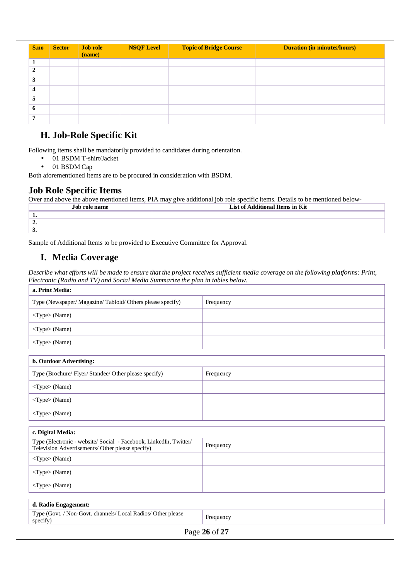| S.no                    | <b>Sector</b> | Job role<br>(name) | <b>NSQF Level</b> | <b>Topic of Bridge Course</b> | <b>Duration (in minutes/hours)</b> |
|-------------------------|---------------|--------------------|-------------------|-------------------------------|------------------------------------|
|                         |               |                    |                   |                               |                                    |
| $\overline{2}$          |               |                    |                   |                               |                                    |
| 3                       |               |                    |                   |                               |                                    |
| $\overline{\mathbf{4}}$ |               |                    |                   |                               |                                    |
| 5                       |               |                    |                   |                               |                                    |
| 6                       |               |                    |                   |                               |                                    |
| $\mathbf{r}$            |               |                    |                   |                               |                                    |

### **H. Job-Role Specific Kit**

Following items shall be mandatorily provided to candidates during orientation.

- 01 BSDM T-shirt/Jacket à,
- 01 BSDM Cap  $\overline{a}$

Both aforementioned items are to be procured in consideration with BSDM.

### **Job Role Specific Items**

Over and above the above mentioned items, PIA may give additional job role specific items. Details to be mentioned below-

| Job role name | List of Additional Items in Kit |
|---------------|---------------------------------|
|               |                                 |
| --            |                                 |
| v.            |                                 |

Sample of Additional Items to be provided to Executive Committee for Approval.

### **I. Media Coverage**

*Describe what efforts will be made to ensure that the project receives sufficient media coverage on the following platforms: Print, Electronic (Radio and TV) and Social Media Summarize the plan in tables below.*

| a. Print Media:                                                                                                       |               |
|-----------------------------------------------------------------------------------------------------------------------|---------------|
| Type (Newspaper/ Magazine/ Tabloid/ Others please specify)                                                            | Frequency     |
| <type> (Name)</type>                                                                                                  |               |
| <type> (Name)</type>                                                                                                  |               |
| <type> (Name)</type>                                                                                                  |               |
| b. Outdoor Advertising:                                                                                               |               |
| Type (Brochure/ Flyer/ Standee/ Other please specify)                                                                 | Frequency     |
| <type> (Name)</type>                                                                                                  |               |
| <type> (Name)</type>                                                                                                  |               |
| <type> (Name)</type>                                                                                                  |               |
| c. Digital Media:                                                                                                     |               |
| Type (Electronic - website/ Social - Facebook, LinkedIn, Twitter/<br>Television Advertisements/ Other please specify) | Frequency     |
| <type> (Name)</type>                                                                                                  |               |
| <type> (Name)</type>                                                                                                  |               |
| <type> (Name)</type>                                                                                                  |               |
| d. Radio Engagement:                                                                                                  |               |
| Type (Govt. / Non-Govt. channels/ Local Radios/ Other please<br>specify)                                              | Frequency     |
|                                                                                                                       | Page 26 of 27 |